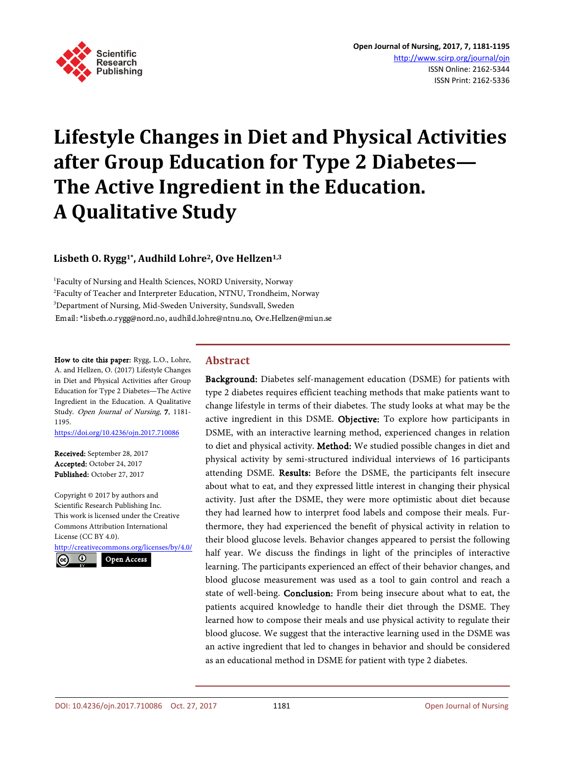

# **Lifestyle Changes in Diet and Physical Activities after Group Education for Type 2 Diabetes— The Active Ingredient in the Education. A Qualitative Study**

**Lisbeth O. Rygg1\*, Audhild Lohre2, Ove Hellzen1,3**

1 Faculty of Nursing and Health Sciences, NORD University, Norway <sup>2</sup>Faculty of Teacher and Interpreter Education, NTNU, Trondheim, Norway 3 Department of Nursing, Mid-Sweden University, Sundsvall, Sweden Email: \*lisbeth.o.rygg@nord.no, audhild.lohre@ntnu.no, Ove.Hellzen@miun.se

How to cite this paper: Rygg, L.O., Lohre, A. and Hellzen, O. (2017) Lifestyle Changes in Diet and Physical Activities after Group Education for Type 2 Diabetes—The Active Ingredient in the Education. A Qualitative Study. Open Journal of Nursing, 7, 1181- 1195.

<https://doi.org/10.4236/ojn.2017.710086>

Received: September 28, 2017 Accepted: October 24, 2017 Published: October 27, 2017

Copyright © 2017 by authors and Scientific Research Publishing Inc. This work is licensed under the Creative Commons Attribution International License (CC BY 4.0).

<http://creativecommons.org/licenses/by/4.0/> Open Access $\odot$ 

## **Abstract**

Background: Diabetes self-management education (DSME) for patients with type 2 diabetes requires efficient teaching methods that make patients want to change lifestyle in terms of their diabetes. The study looks at what may be the active ingredient in this DSME. Objective: To explore how participants in DSME, with an interactive learning method, experienced changes in relation to diet and physical activity. Method: We studied possible changes in diet and physical activity by semi-structured individual interviews of 16 participants attending DSME. Results: Before the DSME, the participants felt insecure about what to eat, and they expressed little interest in changing their physical activity. Just after the DSME, they were more optimistic about diet because they had learned how to interpret food labels and compose their meals. Furthermore, they had experienced the benefit of physical activity in relation to their blood glucose levels. Behavior changes appeared to persist the following half year. We discuss the findings in light of the principles of interactive learning. The participants experienced an effect of their behavior changes, and blood glucose measurement was used as a tool to gain control and reach a state of well-being. Conclusion: From being insecure about what to eat, the patients acquired knowledge to handle their diet through the DSME. They learned how to compose their meals and use physical activity to regulate their blood glucose. We suggest that the interactive learning used in the DSME was an active ingredient that led to changes in behavior and should be considered as an educational method in DSME for patient with type 2 diabetes.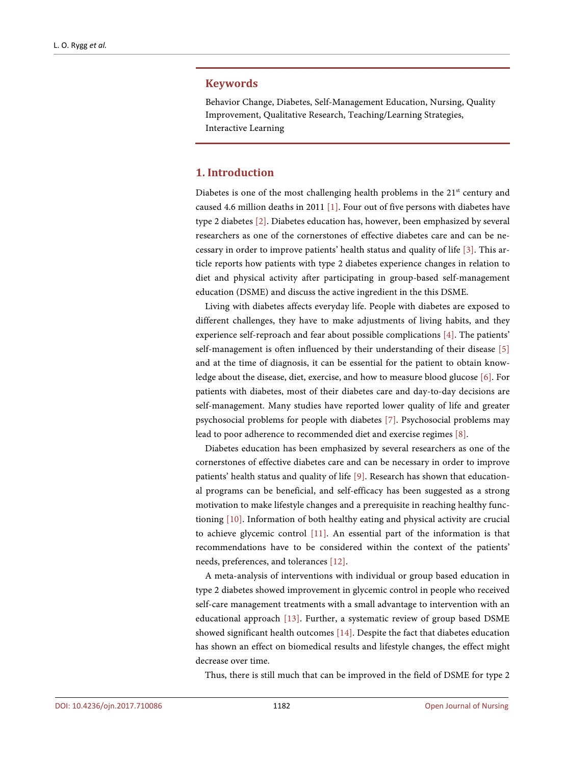### **Keywords**

Behavior Change, Diabetes, Self-Management Education, Nursing, Quality Improvement, Qualitative Research, Teaching/Learning Strategies, Interactive Learning

## **1. Introduction**

Diabetes is one of the most challenging health problems in the 21<sup>st</sup> century and caused 4.6 million deaths in 2011 [\[1\].](#page-11-0) Four out of five persons with diabetes have type 2 diabetes [\[2\].](#page-11-1) Diabetes education has, however, been emphasized by several researchers as one of the cornerstones of effective diabetes care and can be necessary in order to improve patients' health status and quality of life [\[3\].](#page-11-2) This article reports how patients with type 2 diabetes experience changes in relation to diet and physical activity after participating in group-based self-management education (DSME) and discuss the active ingredient in the this DSME.

Living with diabetes affects everyday life. People with diabetes are exposed to different challenges, they have to make adjustments of living habits, and they experience self-reproach and fear about possible complications [\[4\].](#page-11-3) The patients' self-management is often influenced by their understanding of their disease [\[5\]](#page-11-4) and at the time of diagnosis, it can be essential for the patient to obtain knowledge about the disease, diet, exercise, and how to measure blood glucose [\[6\].](#page-11-5) For patients with diabetes, most of their diabetes care and day-to-day decisions are self-management. Many studies have reported lower quality of life and greater psychosocial problems for people with diabetes [\[7\].](#page-12-0) Psychosocial problems may lead to poor adherence to recommended diet and exercise regime[s \[8\].](#page-12-1)

Diabetes education has been emphasized by several researchers as one of the cornerstones of effective diabetes care and can be necessary in order to improve patients' health status and quality of life [\[9\].](#page-12-2) Research has shown that educational programs can be beneficial, and self-efficacy has been suggested as a strong motivation to make lifestyle changes and a prerequisite in reaching healthy functioning [\[10\].](#page-12-3) Information of both healthy eating and physical activity are crucial to achieve glycemic control [\[11\].](#page-12-4) An essential part of the information is that recommendations have to be considered within the context of the patients' needs, preferences, and tolerances [\[12\].](#page-12-5)

A meta-analysis of interventions with individual or group based education in type 2 diabetes showed improvement in glycemic control in people who received self-care management treatments with a small advantage to intervention with an educational approach [\[13\].](#page-12-6) Further, a systematic review of group based DSME showed significant health outcomes [\[14\].](#page-12-7) Despite the fact that diabetes education has shown an effect on biomedical results and lifestyle changes, the effect might decrease over time.

Thus, there is still much that can be improved in the field of DSME for type 2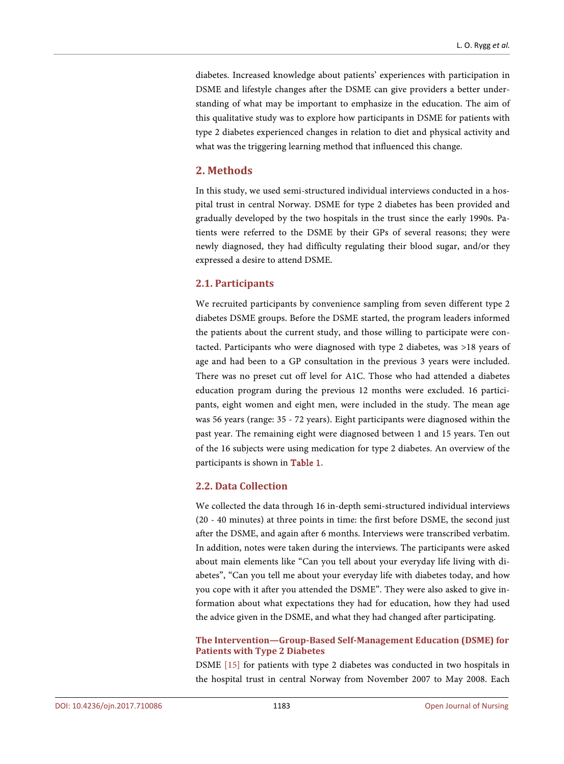diabetes. Increased knowledge about patients' experiences with participation in DSME and lifestyle changes after the DSME can give providers a better understanding of what may be important to emphasize in the education. The aim of this qualitative study was to explore how participants in DSME for patients with type 2 diabetes experienced changes in relation to diet and physical activity and what was the triggering learning method that influenced this change.

## **2. Methods**

In this study, we used semi-structured individual interviews conducted in a hospital trust in central Norway. DSME for type 2 diabetes has been provided and gradually developed by the two hospitals in the trust since the early 1990s. Patients were referred to the DSME by their GPs of several reasons; they were newly diagnosed, they had difficulty regulating their blood sugar, and/or they expressed a desire to attend DSME.

## **2.1. Participants**

We recruited participants by convenience sampling from seven different type 2 diabetes DSME groups. Before the DSME started, the program leaders informed the patients about the current study, and those willing to participate were contacted. Participants who were diagnosed with type 2 diabetes, was >18 years of age and had been to a GP consultation in the previous 3 years were included. There was no preset cut off level for A1C. Those who had attended a diabetes education program during the previous 12 months were excluded. 16 participants, eight women and eight men, were included in the study. The mean age was 56 years (range: 35 - 72 years). Eight participants were diagnosed within the past year. The remaining eight were diagnosed between 1 and 15 years. Ten out of the 16 subjects were using medication for type 2 diabetes. An overview of the participants is shown in [Table 1.](#page-3-0)

## **2.2. Data Collection**

We collected the data through 16 in-depth semi-structured individual interviews (20 - 40 minutes) at three points in time: the first before DSME, the second just after the DSME, and again after 6 months. Interviews were transcribed verbatim. In addition, notes were taken during the interviews. The participants were asked about main elements like "Can you tell about your everyday life living with diabetes", "Can you tell me about your everyday life with diabetes today, and how you cope with it after you attended the DSME". They were also asked to give information about what expectations they had for education, how they had used the advice given in the DSME, and what they had changed after participating.

## **The Intervention—Group-Based Self-Management Education (DSME) for Patients with Type 2 Diabetes**

DSME [\[15\]](#page-12-8) for patients with type 2 diabetes was conducted in two hospitals in the hospital trust in central Norway from November 2007 to May 2008. Each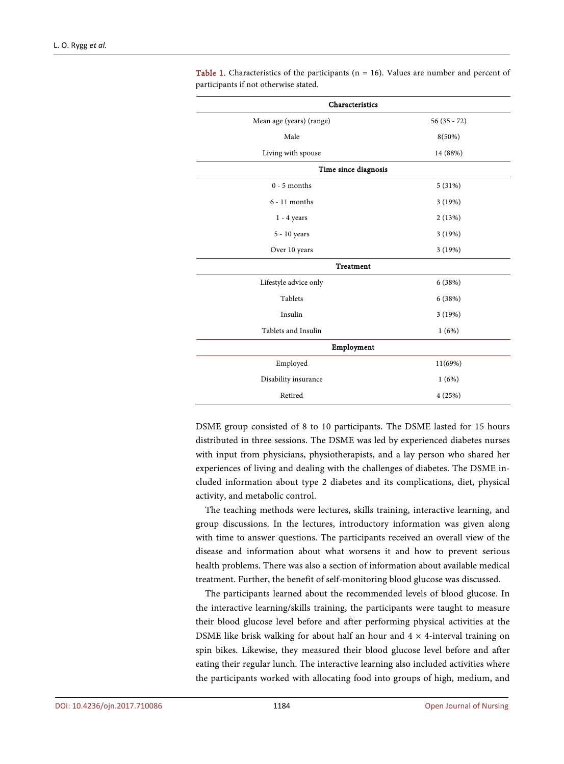| Characteristics          |               |  |
|--------------------------|---------------|--|
| Mean age (years) (range) | $56(35 - 72)$ |  |
| Male                     | $8(50\%)$     |  |
| Living with spouse       | 14 (88%)      |  |
| Time since diagnosis     |               |  |
| $0 - 5$ months           | 5(31%)        |  |
| $6 - 11$ months          | 3(19%)        |  |
| $1 - 4$ years            | 2(13%)        |  |
| 5 - 10 years             | 3(19%)        |  |
| Over 10 years            | 3 (19%)       |  |
| <b>Treatment</b>         |               |  |
| Lifestyle advice only    | 6(38%)        |  |
| Tablets                  | 6(38%)        |  |
| Insulin                  | 3(19%)        |  |
| Tablets and Insulin      | 1(6%)         |  |
| Employment               |               |  |
| Employed                 | 11(69%)       |  |
| Disability insurance     | 1(6%)         |  |
| Retired                  | 4(25%)        |  |

<span id="page-3-0"></span>Table 1. Characteristics of the participants ( $n = 16$ ). Values are number and percent of participants if not otherwise stated.

DSME group consisted of 8 to 10 participants. The DSME lasted for 15 hours distributed in three sessions. The DSME was led by experienced diabetes nurses with input from physicians, physiotherapists, and a lay person who shared her experiences of living and dealing with the challenges of diabetes. The DSME included information about type 2 diabetes and its complications, diet, physical activity, and metabolic control.

The teaching methods were lectures, skills training, interactive learning, and group discussions. In the lectures, introductory information was given along with time to answer questions. The participants received an overall view of the disease and information about what worsens it and how to prevent serious health problems. There was also a section of information about available medical treatment. Further, the benefit of self-monitoring blood glucose was discussed.

The participants learned about the recommended levels of blood glucose. In the interactive learning/skills training, the participants were taught to measure their blood glucose level before and after performing physical activities at the DSME like brisk walking for about half an hour and  $4 \times 4$ -interval training on spin bikes. Likewise, they measured their blood glucose level before and after eating their regular lunch. The interactive learning also included activities where the participants worked with allocating food into groups of high, medium, and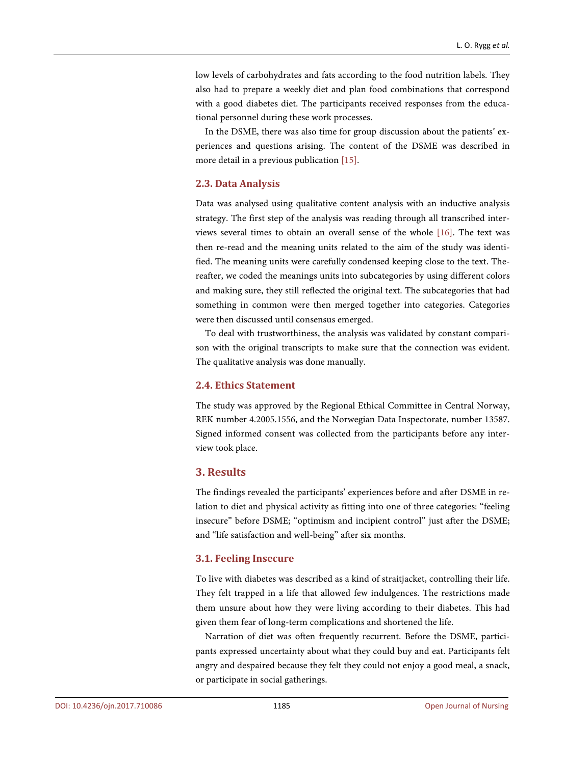low levels of carbohydrates and fats according to the food nutrition labels. They also had to prepare a weekly diet and plan food combinations that correspond with a good diabetes diet. The participants received responses from the educational personnel during these work processes.

In the DSME, there was also time for group discussion about the patients' experiences and questions arising. The content of the DSME was described in more detail in a previous publication [\[15\].](#page-12-8)

## **2.3. Data Analysis**

Data was analysed using qualitative content analysis with an inductive analysis strategy. The first step of the analysis was reading through all transcribed interviews several times to obtain an overall sense of the whole [\[16\].](#page-12-9) The text was then re-read and the meaning units related to the aim of the study was identified. The meaning units were carefully condensed keeping close to the text. Thereafter, we coded the meanings units into subcategories by using different colors and making sure, they still reflected the original text. The subcategories that had something in common were then merged together into categories. Categories were then discussed until consensus emerged.

To deal with trustworthiness, the analysis was validated by constant comparison with the original transcripts to make sure that the connection was evident. The qualitative analysis was done manually.

#### **2.4. Ethics Statement**

The study was approved by the Regional Ethical Committee in Central Norway, REK number 4.2005.1556, and the Norwegian Data Inspectorate, number 13587. Signed informed consent was collected from the participants before any interview took place.

## **3. Results**

The findings revealed the participants' experiences before and after DSME in relation to diet and physical activity as fitting into one of three categories: "feeling insecure" before DSME; "optimism and incipient control" just after the DSME; and "life satisfaction and well-being" after six months.

## **3.1. Feeling Insecure**

To live with diabetes was described as a kind of straitjacket, controlling their life. They felt trapped in a life that allowed few indulgences. The restrictions made them unsure about how they were living according to their diabetes. This had given them fear of long-term complications and shortened the life.

Narration of diet was often frequently recurrent. Before the DSME, participants expressed uncertainty about what they could buy and eat. Participants felt angry and despaired because they felt they could not enjoy a good meal, a snack, or participate in social gatherings.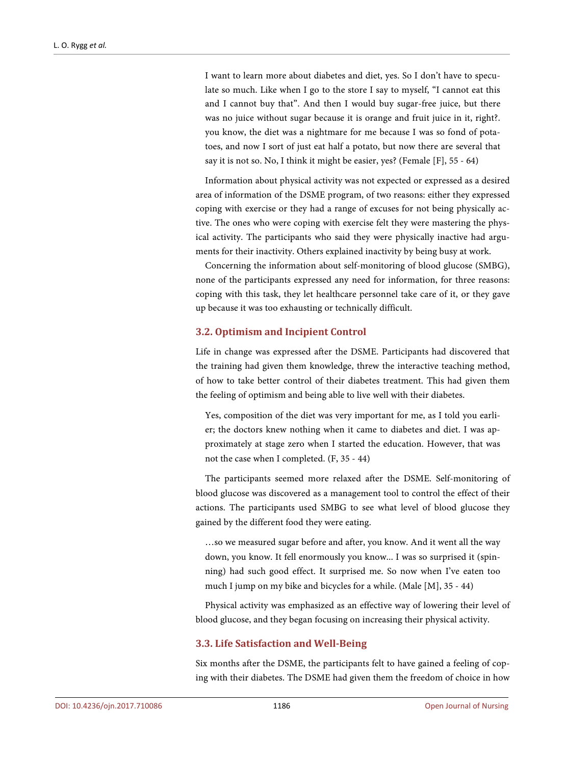I want to learn more about diabetes and diet, yes. So I don't have to speculate so much. Like when I go to the store I say to myself, "I cannot eat this and I cannot buy that". And then I would buy sugar-free juice, but there was no juice without sugar because it is orange and fruit juice in it, right?. you know, the diet was a nightmare for me because I was so fond of potatoes, and now I sort of just eat half a potato, but now there are several that say it is not so. No, I think it might be easier, yes? (Female [F], 55 - 64)

Information about physical activity was not expected or expressed as a desired area of information of the DSME program, of two reasons: either they expressed coping with exercise or they had a range of excuses for not being physically active. The ones who were coping with exercise felt they were mastering the physical activity. The participants who said they were physically inactive had arguments for their inactivity. Others explained inactivity by being busy at work.

Concerning the information about self-monitoring of blood glucose (SMBG), none of the participants expressed any need for information, for three reasons: coping with this task, they let healthcare personnel take care of it, or they gave up because it was too exhausting or technically difficult.

## **3.2. Optimism and Incipient Control**

Life in change was expressed after the DSME. Participants had discovered that the training had given them knowledge, threw the interactive teaching method, of how to take better control of their diabetes treatment. This had given them the feeling of optimism and being able to live well with their diabetes.

Yes, composition of the diet was very important for me, as I told you earlier; the doctors knew nothing when it came to diabetes and diet. I was approximately at stage zero when I started the education. However, that was not the case when I completed. (F, 35 - 44)

The participants seemed more relaxed after the DSME. Self-monitoring of blood glucose was discovered as a management tool to control the effect of their actions. The participants used SMBG to see what level of blood glucose they gained by the different food they were eating.

…so we measured sugar before and after, you know. And it went all the way down, you know. It fell enormously you know... I was so surprised it (spinning) had such good effect. It surprised me. So now when I've eaten too much I jump on my bike and bicycles for a while. (Male [M], 35 - 44)

Physical activity was emphasized as an effective way of lowering their level of blood glucose, and they began focusing on increasing their physical activity.

## **3.3. Life Satisfaction and Well-Being**

Six months after the DSME, the participants felt to have gained a feeling of coping with their diabetes. The DSME had given them the freedom of choice in how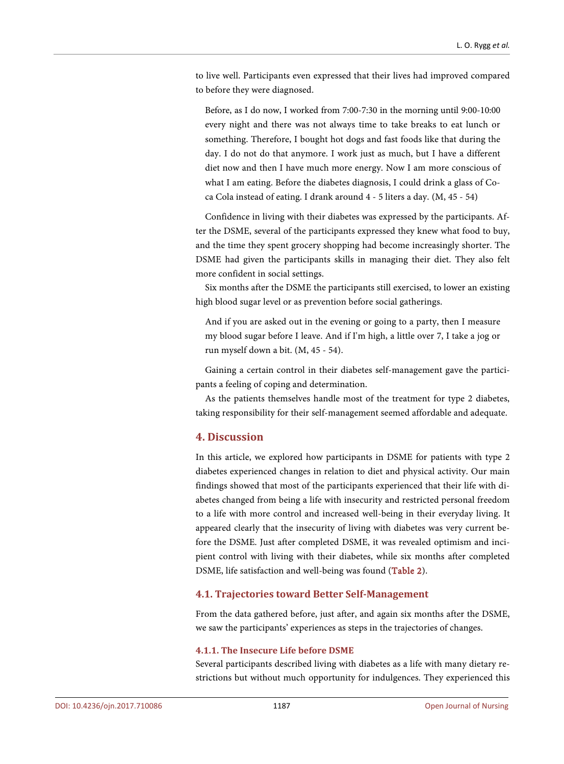to live well. Participants even expressed that their lives had improved compared to before they were diagnosed.

Before, as I do now, I worked from 7:00-7:30 in the morning until 9:00-10:00 every night and there was not always time to take breaks to eat lunch or something. Therefore, I bought hot dogs and fast foods like that during the day. I do not do that anymore. I work just as much, but I have a different diet now and then I have much more energy. Now I am more conscious of what I am eating. Before the diabetes diagnosis, I could drink a glass of Coca Cola instead of eating. I drank around 4 - 5 liters a day. (M, 45 - 54)

Confidence in living with their diabetes was expressed by the participants. After the DSME, several of the participants expressed they knew what food to buy, and the time they spent grocery shopping had become increasingly shorter. The DSME had given the participants skills in managing their diet. They also felt more confident in social settings.

Six months after the DSME the participants still exercised, to lower an existing high blood sugar level or as prevention before social gatherings.

And if you are asked out in the evening or going to a party, then I measure my blood sugar before I leave. And if I'm high, a little over 7, I take a jog or run myself down a bit. (M, 45 - 54).

Gaining a certain control in their diabetes self-management gave the participants a feeling of coping and determination.

As the patients themselves handle most of the treatment for type 2 diabetes, taking responsibility for their self-management seemed affordable and adequate.

## **4. Discussion**

In this article, we explored how participants in DSME for patients with type 2 diabetes experienced changes in relation to diet and physical activity. Our main findings showed that most of the participants experienced that their life with diabetes changed from being a life with insecurity and restricted personal freedom to a life with more control and increased well-being in their everyday living. It appeared clearly that the insecurity of living with diabetes was very current before the DSME. Just after completed DSME, it was revealed optimism and incipient control with living with their diabetes, while six months after completed DSME, life satisfaction and well-being was found [\(Table 2\)](#page-7-0).

## **4.1. Trajectories toward Better Self-Management**

From the data gathered before, just after, and again six months after the DSME, we saw the participants' experiences as steps in the trajectories of changes.

### **4.1.1. The Insecure Life before DSME**

Several participants described living with diabetes as a life with many dietary restrictions but without much opportunity for indulgences. They experienced this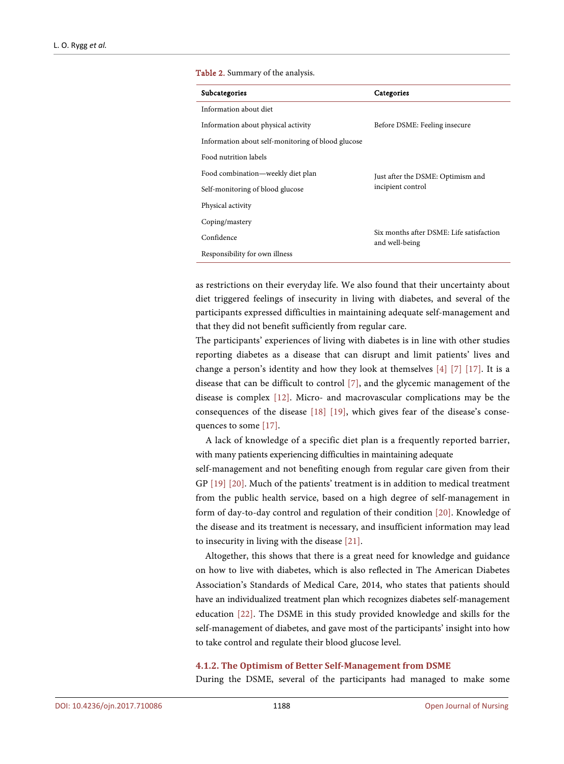#### <span id="page-7-0"></span>Table 2. Summary of the analysis.

| Subcategories                                      | Categories                                                 |
|----------------------------------------------------|------------------------------------------------------------|
| Information about diet                             |                                                            |
| Information about physical activity                | Before DSME: Feeling insecure                              |
| Information about self-monitoring of blood glucose |                                                            |
| Food nutrition labels                              |                                                            |
| Food combination—weekly diet plan                  | Just after the DSME: Optimism and<br>incipient control     |
| Self-monitoring of blood glucose                   |                                                            |
| Physical activity                                  |                                                            |
| Coping/mastery                                     |                                                            |
| Confidence                                         | Six months after DSME: Life satisfaction<br>and well-being |
| Responsibility for own illness                     |                                                            |

as restrictions on their everyday life. We also found that their uncertainty about diet triggered feelings of insecurity in living with diabetes, and several of the participants expressed difficulties in maintaining adequate self-management and that they did not benefit sufficiently from regular care.

The participants' experiences of living with diabetes is in line with other studies reporting diabetes as a disease that can disrupt and limit patients' lives and change a person's identity and how they look at themselves [\[4\]](#page-11-3) [\[7\]](#page-12-0) [\[17\].](#page-12-10) It is a disease that can be difficult to control [\[7\],](#page-12-0) and the glycemic management of the disease is complex [\[12\].](#page-12-5) Micro- and macrovascular complications may be the consequences of the disease [\[18\]](#page-12-11) [\[19\],](#page-12-12) which gives fear of the disease's consequences to some [\[17\].](#page-12-10)

A lack of knowledge of a specific diet plan is a frequently reported barrier, with many patients experiencing difficulties in maintaining adequate

self-management and not benefiting enough from regular care given from their GP [\[19\]](#page-12-12) [\[20\].](#page-12-13) Much of the patients' treatment is in addition to medical treatment from the public health service, based on a high degree of self-management in form of day-to-day control and regulation of their condition [\[20\].](#page-12-13) Knowledge of the disease and its treatment is necessary, and insufficient information may lead to insecurity in living with the disease [\[21\].](#page-13-0)

Altogether, this shows that there is a great need for knowledge and guidance on how to live with diabetes, which is also reflected in The American Diabetes Association's Standards of Medical Care, 2014, who states that patients should have an individualized treatment plan which recognizes diabetes self-management education [\[22\].](#page-13-1) The DSME in this study provided knowledge and skills for the self-management of diabetes, and gave most of the participants' insight into how to take control and regulate their blood glucose level.

#### **4.1.2. The Optimism of Better Self-Management from DSME**

During the DSME, several of the participants had managed to make some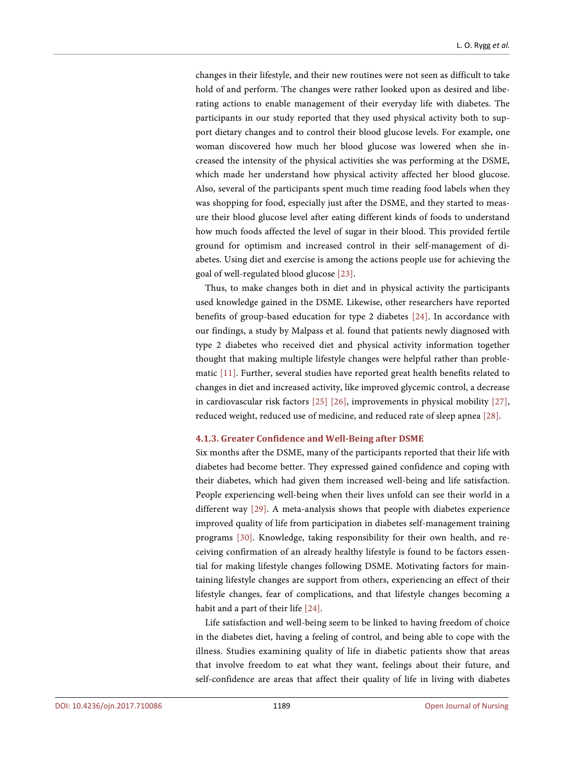changes in their lifestyle, and their new routines were not seen as difficult to take hold of and perform. The changes were rather looked upon as desired and liberating actions to enable management of their everyday life with diabetes. The participants in our study reported that they used physical activity both to support dietary changes and to control their blood glucose levels. For example, one woman discovered how much her blood glucose was lowered when she increased the intensity of the physical activities she was performing at the DSME, which made her understand how physical activity affected her blood glucose. Also, several of the participants spent much time reading food labels when they was shopping for food, especially just after the DSME, and they started to measure their blood glucose level after eating different kinds of foods to understand how much foods affected the level of sugar in their blood. This provided fertile ground for optimism and increased control in their self-management of diabetes. Using diet and exercise is among the actions people use for achieving the goal of well-regulated blood glucose [\[23\].](#page-13-2)

Thus, to make changes both in diet and in physical activity the participants used knowledge gained in the DSME. Likewise, other researchers have reported benefits of group-based education for type 2 diabetes [\[24\].](#page-13-3) In accordance with our findings, a study by Malpass et al. found that patients newly diagnosed with type 2 diabetes who received diet and physical activity information together thought that making multiple lifestyle changes were helpful rather than problematic [\[11\].](#page-12-4) Further, several studies have reported great health benefits related to changes in diet and increased activity, like improved glycemic control, a decrease in cardiovascular risk factors [\[25\]](#page-13-4) [\[26\],](#page-13-5) improvements in physical mobility [\[27\],](#page-13-6)  reduced weight, reduced use of medicine, and reduced rate of sleep apnea [\[28\].](#page-13-7)

### **4.1.3. Greater Confidence and Well-Being after DSME**

Six months after the DSME, many of the participants reported that their life with diabetes had become better. They expressed gained confidence and coping with their diabetes, which had given them increased well-being and life satisfaction. People experiencing well-being when their lives unfold can see their world in a different way [\[29\].](#page-13-8) A meta-analysis shows that people with diabetes experience improved quality of life from participation in diabetes self-management training programs [\[30\].](#page-13-9) Knowledge, taking responsibility for their own health, and receiving confirmation of an already healthy lifestyle is found to be factors essential for making lifestyle changes following DSME. Motivating factors for maintaining lifestyle changes are support from others, experiencing an effect of their lifestyle changes, fear of complications, and that lifestyle changes becoming a habit and a part of their lif[e \[24\].](#page-13-3)

Life satisfaction and well-being seem to be linked to having freedom of choice in the diabetes diet, having a feeling of control, and being able to cope with the illness. Studies examining quality of life in diabetic patients show that areas that involve freedom to eat what they want, feelings about their future, and self-confidence are areas that affect their quality of life in living with diabetes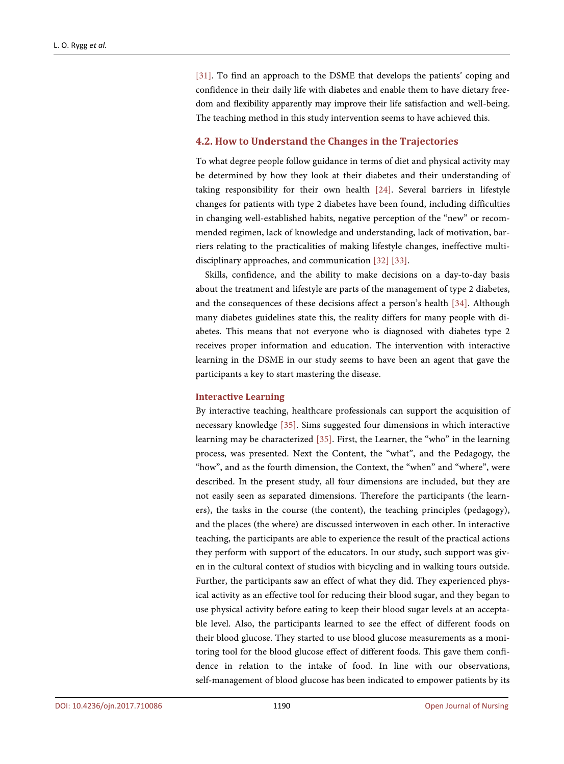[\[31\].](#page-13-10) To find an approach to the DSME that develops the patients' coping and confidence in their daily life with diabetes and enable them to have dietary freedom and flexibility apparently may improve their life satisfaction and well-being. The teaching method in this study intervention seems to have achieved this.

## **4.2. How to Understand the Changes in the Trajectories**

To what degree people follow guidance in terms of diet and physical activity may be determined by how they look at their diabetes and their understanding of taking responsibility for their own health [\[24\].](#page-13-3) Several barriers in lifestyle changes for patients with type 2 diabetes have been found, including difficulties in changing well-established habits, negative perception of the "new" or recommended regimen, lack of knowledge and understanding, lack of motivation, barriers relating to the practicalities of making lifestyle changes, ineffective multidisciplinary approaches, and communication [\[32\]](#page-13-11) [\[33\].](#page-13-12)

Skills, confidence, and the ability to make decisions on a day-to-day basis about the treatment and lifestyle are parts of the management of type 2 diabetes, and the consequences of these decisions affect a person's health [\[34\].](#page-13-13) Although many diabetes guidelines state this, the reality differs for many people with diabetes. This means that not everyone who is diagnosed with diabetes type 2 receives proper information and education. The intervention with interactive learning in the DSME in our study seems to have been an agent that gave the participants a key to start mastering the disease.

#### **Interactive Learning**

By interactive teaching, healthcare professionals can support the acquisition of necessary knowledge [\[35\].](#page-14-0) Sims suggested four dimensions in which interactive learning may be characterized [\[35\].](#page-14-0) First, the Learner, the "who" in the learning process, was presented. Next the Content, the "what", and the Pedagogy, the "how", and as the fourth dimension, the Context, the "when" and "where", were described. In the present study, all four dimensions are included, but they are not easily seen as separated dimensions. Therefore the participants (the learners), the tasks in the course (the content), the teaching principles (pedagogy), and the places (the where) are discussed interwoven in each other. In interactive teaching, the participants are able to experience the result of the practical actions they perform with support of the educators. In our study, such support was given in the cultural context of studios with bicycling and in walking tours outside. Further, the participants saw an effect of what they did. They experienced physical activity as an effective tool for reducing their blood sugar, and they began to use physical activity before eating to keep their blood sugar levels at an acceptable level. Also, the participants learned to see the effect of different foods on their blood glucose. They started to use blood glucose measurements as a monitoring tool for the blood glucose effect of different foods. This gave them confidence in relation to the intake of food. In line with our observations, self-management of blood glucose has been indicated to empower patients by its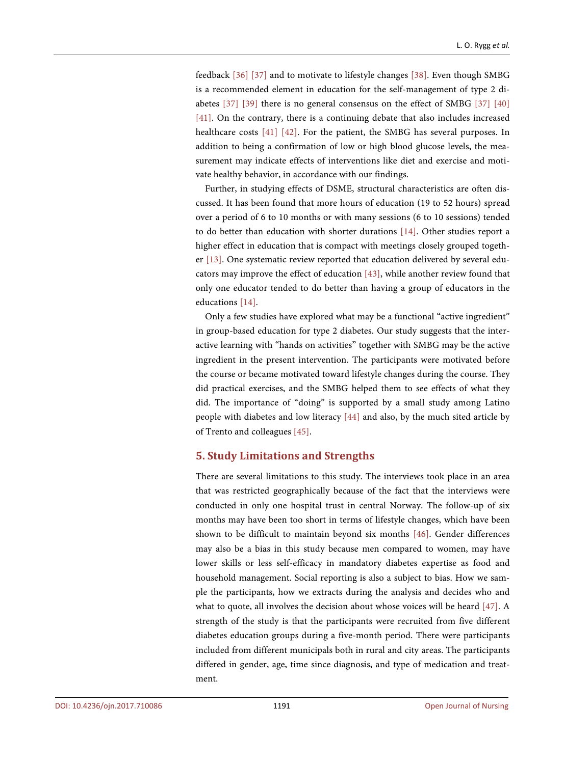feedback [\[36\]](#page-14-1) [\[37\]](#page-14-2) and to motivate to lifestyle changes [\[38\].](#page-14-3) Even though SMBG is a recommended element in education for the self-management of type 2 diabetes [\[37\]](#page-14-2) [\[39\]](#page-14-4) there is no general consensus on the effect of SMBG [\[37\]](#page-14-2) [\[40\]](#page-14-5) [\[41\].](#page-14-6) On the contrary, there is a continuing debate that also includes increased healthcare costs [\[41\]](#page-14-6) [\[42\].](#page-14-7) For the patient, the SMBG has several purposes. In addition to being a confirmation of low or high blood glucose levels, the measurement may indicate effects of interventions like diet and exercise and motivate healthy behavior, in accordance with our findings.

Further, in studying effects of DSME, structural characteristics are often discussed. It has been found that more hours of education (19 to 52 hours) spread over a period of 6 to 10 months or with many sessions (6 to 10 sessions) tended to do better than education with shorter durations [\[14\].](#page-12-7) Other studies report a higher effect in education that is compact with meetings closely grouped together [\[13\].](#page-12-6) One systematic review reported that education delivered by several educators may improve the effect of education [\[43\],](#page-14-8) while another review found that only one educator tended to do better than having a group of educators in the educations [\[14\].](#page-12-7)

Only a few studies have explored what may be a functional "active ingredient" in group-based education for type 2 diabetes. Our study suggests that the interactive learning with "hands on activities" together with SMBG may be the active ingredient in the present intervention. The participants were motivated before the course or became motivated toward lifestyle changes during the course. They did practical exercises, and the SMBG helped them to see effects of what they did. The importance of "doing" is supported by a small study among Latino people with diabetes and low literacy [\[44\]](#page-14-9) and also, by the much sited article by of Trento and colleagues [\[45\].](#page-14-10)

## **5. Study Limitations and Strengths**

There are several limitations to this study. The interviews took place in an area that was restricted geographically because of the fact that the interviews were conducted in only one hospital trust in central Norway. The follow-up of six months may have been too short in terms of lifestyle changes, which have been shown to be difficult to maintain beyond six months [\[46\].](#page-14-11) Gender differences may also be a bias in this study because men compared to women, may have lower skills or less self-efficacy in mandatory diabetes expertise as food and household management. Social reporting is also a subject to bias. How we sample the participants, how we extracts during the analysis and decides who and what to quote, all involves the decision about whose voices will be heard [\[47\].](#page-14-12) A strength of the study is that the participants were recruited from five different diabetes education groups during a five-month period. There were participants included from different municipals both in rural and city areas. The participants differed in gender, age, time since diagnosis, and type of medication and treatment.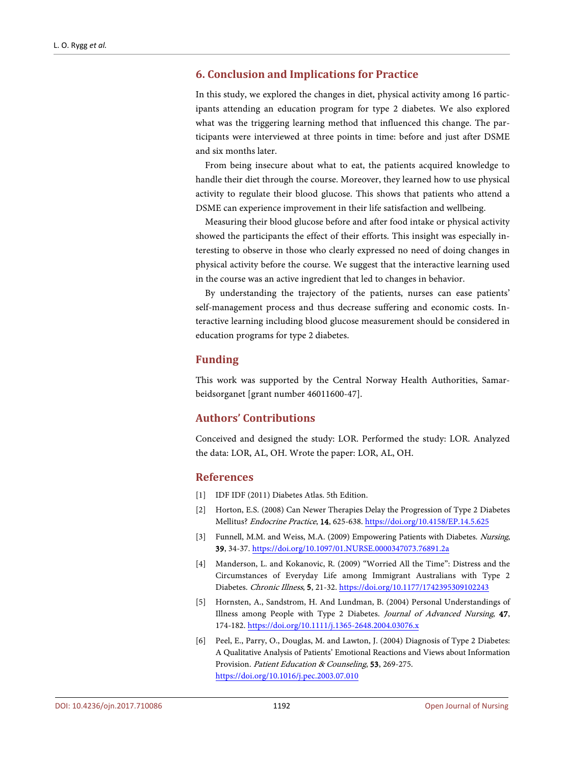## **6. Conclusion and Implications for Practice**

In this study, we explored the changes in diet, physical activity among 16 participants attending an education program for type 2 diabetes. We also explored what was the triggering learning method that influenced this change. The participants were interviewed at three points in time: before and just after DSME and six months later.

From being insecure about what to eat, the patients acquired knowledge to handle their diet through the course. Moreover, they learned how to use physical activity to regulate their blood glucose. This shows that patients who attend a DSME can experience improvement in their life satisfaction and wellbeing.

Measuring their blood glucose before and after food intake or physical activity showed the participants the effect of their efforts. This insight was especially interesting to observe in those who clearly expressed no need of doing changes in physical activity before the course. We suggest that the interactive learning used in the course was an active ingredient that led to changes in behavior.

By understanding the trajectory of the patients, nurses can ease patients' self-management process and thus decrease suffering and economic costs. Interactive learning including blood glucose measurement should be considered in education programs for type 2 diabetes.

## **Funding**

This work was supported by the Central Norway Health Authorities, Samarbeidsorganet [grant number 46011600-47].

## **Authors' Contributions**

Conceived and designed the study: LOR. Performed the study: LOR. Analyzed the data: LOR, AL, OH. Wrote the paper: LOR, AL, OH.

## **References**

- <span id="page-11-0"></span>[1] IDF IDF (2011) Diabetes Atlas. 5th Edition.
- <span id="page-11-1"></span>[2] Horton, E.S. (2008) Can Newer Therapies Delay the Progression of Type 2 Diabetes Mellitus? Endocrine Practice, 14, 625-638. <https://doi.org/10.4158/EP.14.5.625>
- <span id="page-11-2"></span>[3] Funnell, M.M. and Weiss, M.A. (2009) Empowering Patients with Diabetes. Nursing, 39, 34-37. <https://doi.org/10.1097/01.NURSE.0000347073.76891.2a>
- <span id="page-11-3"></span>[4] Manderson, L. and Kokanovic, R. (2009) "Worried All the Time": Distress and the Circumstances of Everyday Life among Immigrant Australians with Type 2 Diabetes. Chronic Illness, 5, 21-32. <https://doi.org/10.1177/1742395309102243>
- <span id="page-11-4"></span>[5] Hornsten, A., Sandstrom, H. And Lundman, B. (2004) Personal Understandings of Illness among People with Type 2 Diabetes. Journal of Advanced Nursing, 47, 174-182. <https://doi.org/10.1111/j.1365-2648.2004.03076.x>
- <span id="page-11-5"></span>[6] Peel, E., Parry, O., Douglas, M. and Lawton, J. (2004) Diagnosis of Type 2 Diabetes: A Qualitative Analysis of Patients' Emotional Reactions and Views about Information Provision. Patient Education & Counseling, 53, 269-275. <https://doi.org/10.1016/j.pec.2003.07.010>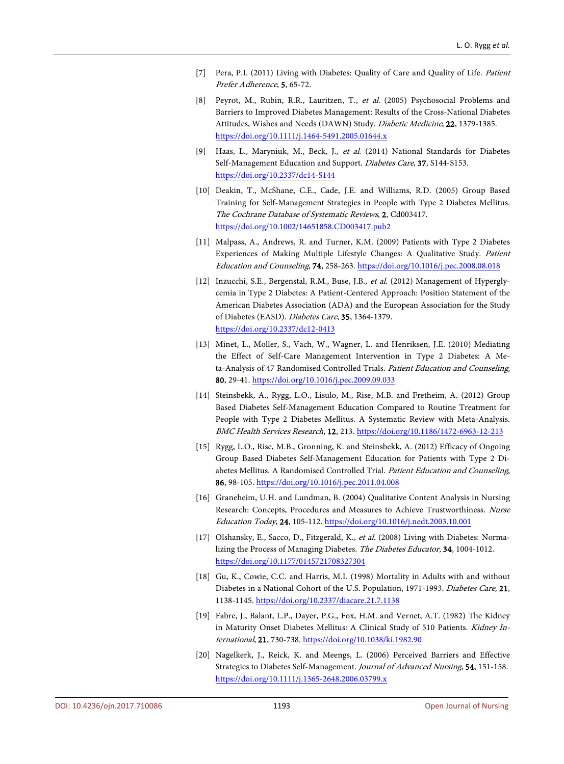- <span id="page-12-0"></span>[7] Pera, P.I. (2011) Living with Diabetes: Quality of Care and Quality of Life. Patient Prefer Adherence, 5, 65-72.
- <span id="page-12-1"></span>[8] Peyrot, M., Rubin, R.R., Lauritzen, T., et al. (2005) Psychosocial Problems and Barriers to Improved Diabetes Management: Results of the Cross-National Diabetes Attitudes, Wishes and Needs (DAWN) Study. Diabetic Medicine, 22, 1379-1385. <https://doi.org/10.1111/j.1464-5491.2005.01644.x>
- <span id="page-12-2"></span>[9] Haas, L., Maryniuk, M., Beck, J., et al. (2014) National Standards for Diabetes Self-Management Education and Support. Diabetes Care, 37, S144-S153. <https://doi.org/10.2337/dc14-S144>
- <span id="page-12-3"></span>[10] Deakin, T., McShane, C.E., Cade, J.E. and Williams, R.D. (2005) Group Based Training for Self-Management Strategies in People with Type 2 Diabetes Mellitus. The Cochrane Database of Systematic Reviews, 2, Cd003417. <https://doi.org/10.1002/14651858.CD003417.pub2>
- <span id="page-12-4"></span>[11] Malpass, A., Andrews, R. and Turner, K.M. (2009) Patients with Type 2 Diabetes Experiences of Making Multiple Lifestyle Changes: A Qualitative Study. Patient Education and Counseling, 74, 258-263. <https://doi.org/10.1016/j.pec.2008.08.018>
- <span id="page-12-5"></span>[12] Inzucchi, S.E., Bergenstal, R.M., Buse, J.B., et al. (2012) Management of Hyperglycemia in Type 2 Diabetes: A Patient-Centered Approach: Position Statement of the American Diabetes Association (ADA) and the European Association for the Study of Diabetes (EASD). Diabetes Care, 35, 1364-1379. <https://doi.org/10.2337/dc12-0413>
- <span id="page-12-6"></span>[13] Minet, L., Moller, S., Vach, W., Wagner, L. and Henriksen, J.E. (2010) Mediating the Effect of Self-Care Management Intervention in Type 2 Diabetes: A Meta-Analysis of 47 Randomised Controlled Trials. Patient Education and Counseling, 80, 29-41. <https://doi.org/10.1016/j.pec.2009.09.033>
- <span id="page-12-7"></span>[14] Steinsbekk, A., Rygg, L.O., Lisulo, M., Rise, M.B. and Fretheim, A. (2012) Group Based Diabetes Self-Management Education Compared to Routine Treatment for People with Type 2 Diabetes Mellitus. A Systematic Review with Meta-Analysis. BMC Health Services Research, 12, 213. <https://doi.org/10.1186/1472-6963-12-213>
- <span id="page-12-8"></span>[15] Rygg, L.O., Rise, M.B., Gronning, K. and Steinsbekk, A. (2012) Efficacy of Ongoing Group Based Diabetes Self-Management Education for Patients with Type 2 Diabetes Mellitus. A Randomised Controlled Trial. Patient Education and Counseling, 86, 98-105. <https://doi.org/10.1016/j.pec.2011.04.008>
- <span id="page-12-9"></span>[16] Graneheim, U.H. and Lundman, B. (2004) Qualitative Content Analysis in Nursing Research: Concepts, Procedures and Measures to Achieve Trustworthiness. Nurse Education Today, 24, 105-112. <https://doi.org/10.1016/j.nedt.2003.10.001>
- <span id="page-12-10"></span>[17] Olshansky, E., Sacco, D., Fitzgerald, K., et al. (2008) Living with Diabetes: Normalizing the Process of Managing Diabetes. The Diabetes Educator, 34, 1004-1012. <https://doi.org/10.1177/0145721708327304>
- <span id="page-12-11"></span>[18] Gu, K., Cowie, C.C. and Harris, M.I. (1998) Mortality in Adults with and without Diabetes in a National Cohort of the U.S. Population, 1971-1993. Diabetes Care, 21, 1138-1145. <https://doi.org/10.2337/diacare.21.7.1138>
- <span id="page-12-12"></span>[19] Fabre, J., Balant, L.P., Dayer, P.G., Fox, H.M. and Vernet, A.T. (1982) The Kidney in Maturity Onset Diabetes Mellitus: A Clinical Study of 510 Patients. Kidney International, 21, 730-738. <https://doi.org/10.1038/ki.1982.90>
- <span id="page-12-13"></span>[20] Nagelkerk, J., Reick, K. and Meengs, L. (2006) Perceived Barriers and Effective Strategies to Diabetes Self-Management. Journal of Advanced Nursing, 54, 151-158. <https://doi.org/10.1111/j.1365-2648.2006.03799.x>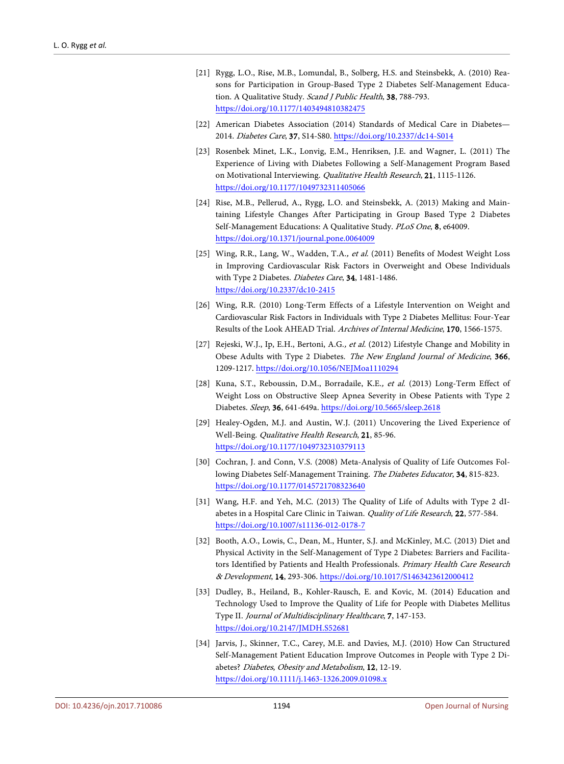- <span id="page-13-0"></span>[21] Rygg, L.O., Rise, M.B., Lomundal, B., Solberg, H.S. and Steinsbekk, A. (2010) Reasons for Participation in Group-Based Type 2 Diabetes Self-Management Education. A Qualitative Study. *Scand I Public Health*, **38**, 788-793. <https://doi.org/10.1177/1403494810382475>
- <span id="page-13-1"></span>[22] American Diabetes Association (2014) Standards of Medical Care in Diabetes— 2014. Diabetes Care, 37, S14-S80. <https://doi.org/10.2337/dc14-S014>
- <span id="page-13-2"></span>[23] Rosenbek Minet, L.K., Lonvig, E.M., Henriksen, J.E. and Wagner, L. (2011) The Experience of Living with Diabetes Following a Self-Management Program Based on Motivational Interviewing. Qualitative Health Research, 21, 1115-1126. <https://doi.org/10.1177/1049732311405066>
- <span id="page-13-3"></span>[24] Rise, M.B., Pellerud, A., Rygg, L.O. and Steinsbekk, A. (2013) Making and Maintaining Lifestyle Changes After Participating in Group Based Type 2 Diabetes Self-Management Educations: A Qualitative Study. PLoS One, 8, e64009. <https://doi.org/10.1371/journal.pone.0064009>
- <span id="page-13-4"></span>[25] Wing, R.R., Lang, W., Wadden, T.A., et al. (2011) Benefits of Modest Weight Loss in Improving Cardiovascular Risk Factors in Overweight and Obese Individuals with Type 2 Diabetes. Diabetes Care, 34, 1481-1486. <https://doi.org/10.2337/dc10-2415>
- <span id="page-13-5"></span>[26] Wing, R.R. (2010) Long-Term Effects of a Lifestyle Intervention on Weight and Cardiovascular Risk Factors in Individuals with Type 2 Diabetes Mellitus: Four-Year Results of the Look AHEAD Trial. Archives of Internal Medicine, 170, 1566-1575.
- <span id="page-13-6"></span>[27] Rejeski, W.J., Ip, E.H., Bertoni, A.G., et al. (2012) Lifestyle Change and Mobility in Obese Adults with Type 2 Diabetes. The New England Journal of Medicine, 366, 1209-1217. <https://doi.org/10.1056/NEJMoa1110294>
- <span id="page-13-7"></span>[28] Kuna, S.T., Reboussin, D.M., Borradaile, K.E., et al. (2013) Long-Term Effect of Weight Loss on Obstructive Sleep Apnea Severity in Obese Patients with Type 2 Diabetes. Sleep, 36, 641-649a. <https://doi.org/10.5665/sleep.2618>
- <span id="page-13-8"></span>[29] Healey-Ogden, M.J. and Austin, W.J. (2011) Uncovering the Lived Experience of Well-Being. Qualitative Health Research, 21, 85-96. <https://doi.org/10.1177/1049732310379113>
- <span id="page-13-9"></span>[30] Cochran, J. and Conn, V.S. (2008) Meta-Analysis of Quality of Life Outcomes Following Diabetes Self-Management Training. The Diabetes Educator, 34, 815-823. <https://doi.org/10.1177/0145721708323640>
- <span id="page-13-10"></span>[31] Wang, H.F. and Yeh, M.C. (2013) The Quality of Life of Adults with Type 2 dIabetes in a Hospital Care Clinic in Taiwan. Quality of Life Research, 22, 577-584. <https://doi.org/10.1007/s11136-012-0178-7>
- <span id="page-13-11"></span>[32] Booth, A.O., Lowis, C., Dean, M., Hunter, S.J. and McKinley, M.C. (2013) Diet and Physical Activity in the Self-Management of Type 2 Diabetes: Barriers and Facilitators Identified by Patients and Health Professionals. Primary Health Care Research & Development, 14, 293-306. <https://doi.org/10.1017/S1463423612000412>
- <span id="page-13-12"></span>[33] Dudley, B., Heiland, B., Kohler-Rausch, E. and Kovic, M. (2014) Education and Technology Used to Improve the Quality of Life for People with Diabetes Mellitus Type II. Journal of Multidisciplinary Healthcare, 7, 147-153. <https://doi.org/10.2147/JMDH.S52681>
- <span id="page-13-13"></span>[34] Jarvis, J., Skinner, T.C., Carey, M.E. and Davies, M.J. (2010) How Can Structured Self-Management Patient Education Improve Outcomes in People with Type 2 Diabetes? Diabetes, Obesity and Metabolism, 12, 12-19. <https://doi.org/10.1111/j.1463-1326.2009.01098.x>